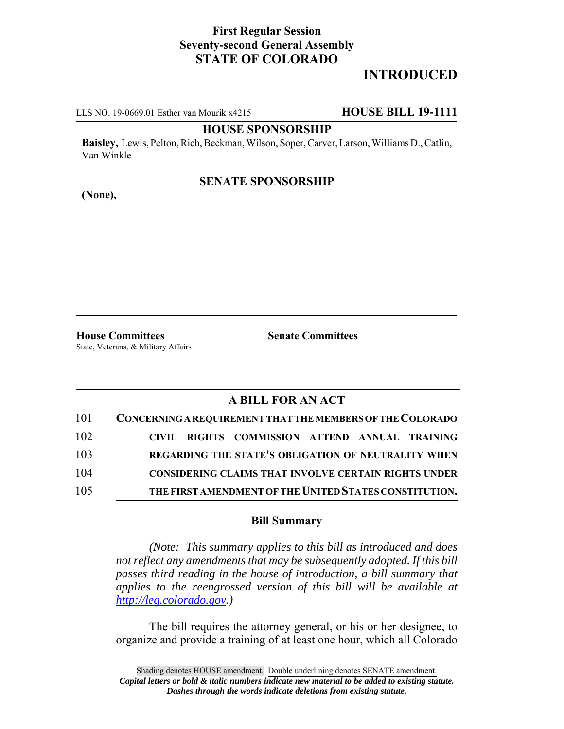## **First Regular Session Seventy-second General Assembly STATE OF COLORADO**

# **INTRODUCED**

LLS NO. 19-0669.01 Esther van Mourik x4215 **HOUSE BILL 19-1111**

#### **HOUSE SPONSORSHIP**

**Baisley,** Lewis, Pelton, Rich, Beckman, Wilson, Soper, Carver, Larson, Williams D., Catlin, Van Winkle

### **SENATE SPONSORSHIP**

**(None),**

**House Committees Senate Committees** State, Veterans, & Military Affairs

## **A BILL FOR AN ACT**

| 101 | CONCERNING A REQUIREMENT THAT THE MEMBERS OF THE COLORADO   |
|-----|-------------------------------------------------------------|
| 102 | CIVIL RIGHTS COMMISSION ATTEND ANNUAL TRAINING              |
| 103 | REGARDING THE STATE'S OBLIGATION OF NEUTRALITY WHEN         |
| 104 | <b>CONSIDERING CLAIMS THAT INVOLVE CERTAIN RIGHTS UNDER</b> |
| 105 | THE FIRST AMENDMENT OF THE UNITED STATES CONSTITUTION.      |

#### **Bill Summary**

*(Note: This summary applies to this bill as introduced and does not reflect any amendments that may be subsequently adopted. If this bill passes third reading in the house of introduction, a bill summary that applies to the reengrossed version of this bill will be available at http://leg.colorado.gov.)*

The bill requires the attorney general, or his or her designee, to organize and provide a training of at least one hour, which all Colorado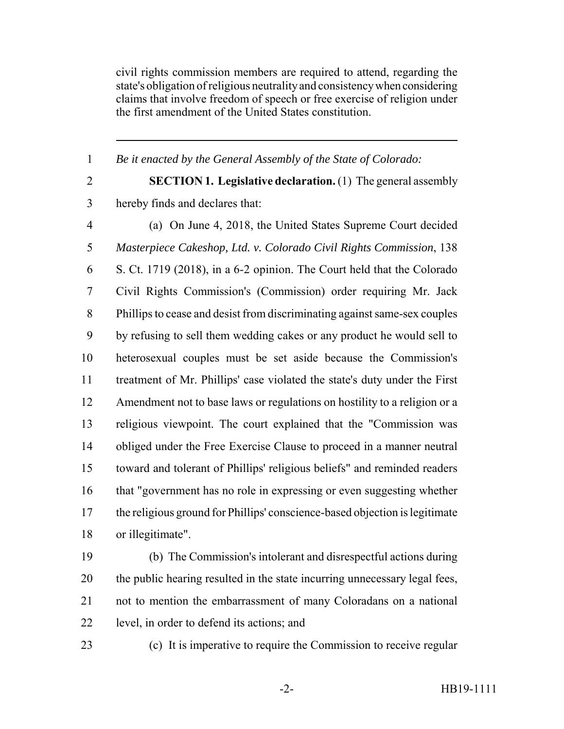civil rights commission members are required to attend, regarding the state's obligation of religious neutrality and consistency when considering claims that involve freedom of speech or free exercise of religion under the first amendment of the United States constitution.

*Be it enacted by the General Assembly of the State of Colorado:*

 **SECTION 1. Legislative declaration.** (1) The general assembly hereby finds and declares that:

 (a) On June 4, 2018, the United States Supreme Court decided *Masterpiece Cakeshop, Ltd. v. Colorado Civil Rights Commission*, 138 S. Ct. 1719 (2018), in a 6-2 opinion. The Court held that the Colorado Civil Rights Commission's (Commission) order requiring Mr. Jack Phillips to cease and desist from discriminating against same-sex couples by refusing to sell them wedding cakes or any product he would sell to heterosexual couples must be set aside because the Commission's treatment of Mr. Phillips' case violated the state's duty under the First Amendment not to base laws or regulations on hostility to a religion or a religious viewpoint. The court explained that the "Commission was obliged under the Free Exercise Clause to proceed in a manner neutral toward and tolerant of Phillips' religious beliefs" and reminded readers that "government has no role in expressing or even suggesting whether the religious ground for Phillips' conscience-based objection is legitimate or illegitimate".

 (b) The Commission's intolerant and disrespectful actions during the public hearing resulted in the state incurring unnecessary legal fees, not to mention the embarrassment of many Coloradans on a national level, in order to defend its actions; and

(c) It is imperative to require the Commission to receive regular